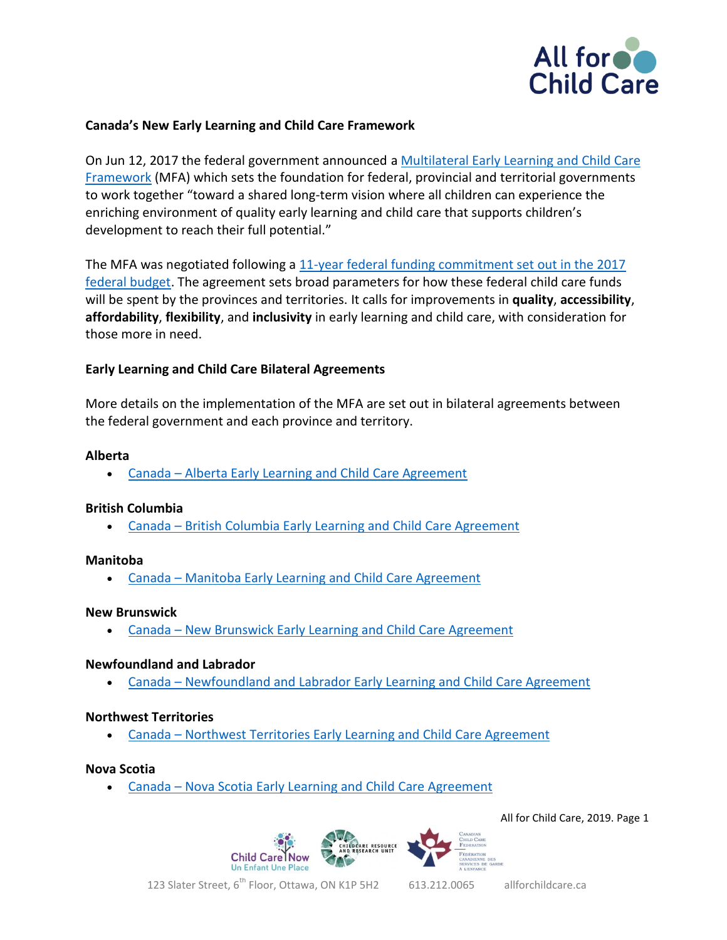

# **Canada's New Early Learning and Child Care Framework**

On Jun 12, 2017 the federal government announced a [Multilateral Early Learning and Child Care](https://www.canada.ca/en/employment-social-development/programs/early-learning-child-care/reports/2017-multilateral-framework.html)  [Framework](https://www.canada.ca/en/employment-social-development/programs/early-learning-child-care/reports/2017-multilateral-framework.html) (MFA) which sets the foundation for federal, provincial and territorial governments to work together "toward a shared long-term vision where all children can experience the enriching environment of quality early learning and child care that supports children's development to reach their full potential."

The MFA was negotiated following a [11-year federal funding commitment set out in the 2017](https://www.budget.gc.ca/2017/docs/plan/anx-01-en.html#Toc477707537)  [federal budget.](https://www.budget.gc.ca/2017/docs/plan/anx-01-en.html#Toc477707537) The agreement sets broad parameters for how these federal child care funds will be spent by the provinces and territories. It calls for improvements in **quality**, **accessibility**, **affordability**, **flexibility**, and **inclusivity** in early learning and child care, with consideration for those more in need.

# **Early Learning and Child Care Bilateral Agreements**

More details on the implementation of the MFA are set out in bilateral agreements between the federal government and each province and territory.

# **Alberta**

Canada – [Alberta Early Learning and Child Care Agreement](https://www.canada.ca/en/early-learning-child-care-agreement/agreements-provinces-territories/alberta.html)

# **British Columbia**

Canada – [British Columbia Early Learning and Child Care Agreement](https://www.canada.ca/en/early-learning-child-care-agreement/agreements-provinces-territories/british-columbia.html)

# **Manitoba**

Canada – [Manitoba Early Learning and Child Care Agreement](https://www.canada.ca/en/early-learning-child-care-agreement/agreements-provinces-territories/manitoba.html)

# **New Brunswick**

Canada – [New Brunswick Early Learning and Child Care Agreement](https://www.canada.ca/en/early-learning-child-care-agreement/agreements-provinces-territories/new-brunswick.html)

# **Newfoundland and Labrador**

Canada – [Newfoundland and Labrador Early Learning and Child Care Agreement](https://www.canada.ca/en/early-learning-child-care-agreement/agreements-provinces-territories/newfoundland-and-labrador.html)

# **Northwest Territories**

Canada – [Northwest Territories Early Learning and Child Care Agreement](https://www.canada.ca/en/early-learning-child-care-agreement/agreements-provinces-territories/northwest-territories.html)

#### **Nova Scotia**

Canada – [Nova Scotia Early Learning and Child Care Agreement](https://www.canada.ca/en/early-learning-child-care-agreement/agreements-provinces-territories/nova-scotia.html)

All for Child Care, 2019. Page 1



123 Slater Street, 6<sup>th</sup> Floor, Ottawa, ON K1P 5H2 613.212.0065 allforchildcare.ca